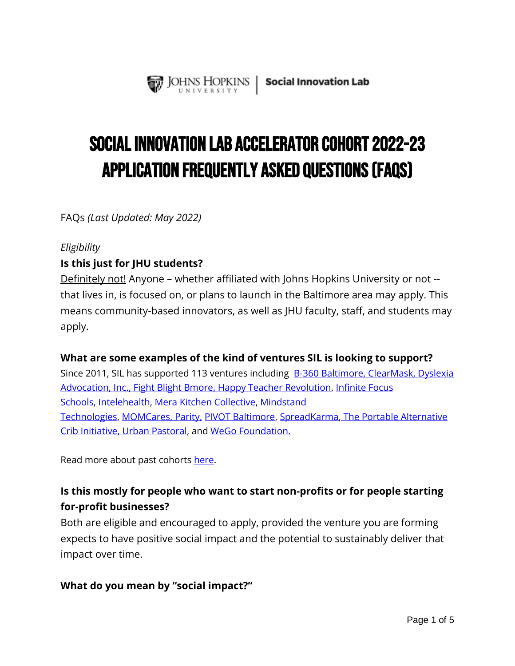

# Social Innovation Lab Accelerator Cohort 2022-23 Application Frequently Asked Questions (FAQs)

FAQs *(Last Updated: May 2022)*

#### *Eligibility*

## **Is this just for JHU students?**

Definitely not! Anyone – whether affiliated with Johns Hopkins University or not - that lives in, is focused on, or plans to launch in the Baltimore area may apply. This means community-based innovators, as well as JHU faculty, staff, and students may apply.

## **What are some examples of the kind of ventures SIL is looking to support?**

Since 2011, SIL has supported 113 ventures including **[B-360 Baltimore,](https://b360baltimore.org/) [ClearMask](https://www.theclearmask.com/), Dyslexia** [Advocation, Inc.,](https://www.soallcanread.org/) [Fight Blight Bmore](https://www.fightblightbmore.com/)[,](https://b360baltimore.org/) [Happy Teacher Revolution,](https://www.happyteacherrevolution.com/) [Infinite Focus](https://www.infinitefocuschools.org/)  [Schools,](https://www.infinitefocuschools.org/) [Intelehealth,](https://www.intelehealth.org/) [Mera Kitchen Collective,](https://www.mera.kitchen/) [Mindstand](https://mindstand.com/) [Technologies,](https://mindstand.com/) [MOMCares,](https://www.therisingmomcares.com/) [Parity,](https://www.parityhomes.com/) [PIVOT Baltimore,](https://www.pivotprogram.org/) [SpreadKarma](https://spreadkarma.org/)[,](https://www.parityhomes.com/) [The Portable Alternative](https://touchingyounglives.com/)  [Crib Initiative](https://touchingyounglives.com/)[,](https://www.parityhomes.com/) [Urban Pastoral,](http://www.urbanpastoral.co/#approach) and [WeGo Foundation.](https://www.parityhomes.com/)

Read more about past cohorts [here.](https://ventures.jhu.edu/programs-services/social-innovation-lab/sil-past-cohorts/)

## **Is this mostly for people who want to start non-profits or for people starting for-profit businesses?**

Both are eligible and encouraged to apply, provided the venture you are forming expects to have positive social impact and the potential to sustainably deliver that impact over time.

## **What do you mean by "social impact?"**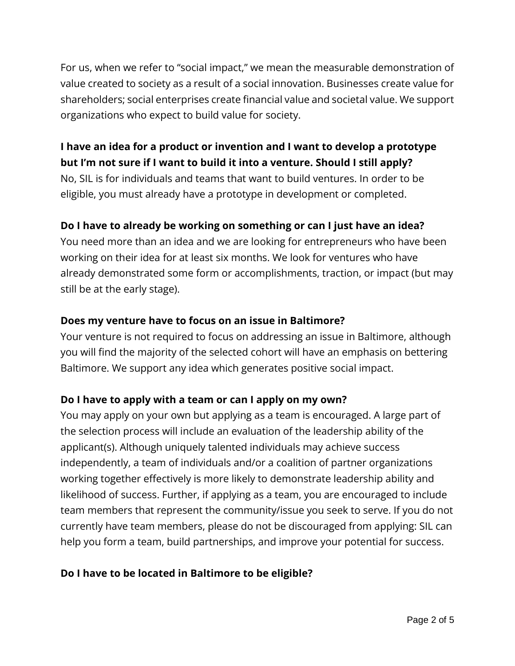For us, when we refer to "social impact," we mean the measurable demonstration of value created to society as a result of a social innovation. Businesses create value for shareholders; social enterprises create financial value and societal value. We support organizations who expect to build value for society.

## **I have an idea for a product or invention and I want to develop a prototype but I'm not sure if I want to build it into a venture. Should I still apply?**

No, SIL is for individuals and teams that want to build ventures. In order to be eligible, you must already have a prototype in development or completed.

## **Do I have to already be working on something or can I just have an idea?**

You need more than an idea and we are looking for entrepreneurs who have been working on their idea for at least six months. We look for ventures who have already demonstrated some form or accomplishments, traction, or impact (but may still be at the early stage).

## **Does my venture have to focus on an issue in Baltimore?**

Your venture is not required to focus on addressing an issue in Baltimore, although you will find the majority of the selected cohort will have an emphasis on bettering Baltimore. We support any idea which generates positive social impact.

## **Do I have to apply with a team or can I apply on my own?**

You may apply on your own but applying as a team is encouraged. A large part of the selection process will include an evaluation of the leadership ability of the applicant(s). Although uniquely talented individuals may achieve success independently, a team of individuals and/or a coalition of partner organizations working together effectively is more likely to demonstrate leadership ability and likelihood of success. Further, if applying as a team, you are encouraged to include team members that represent the community/issue you seek to serve. If you do not currently have team members, please do not be discouraged from applying: SIL can help you form a team, build partnerships, and improve your potential for success.

## **Do I have to be located in Baltimore to be eligible?**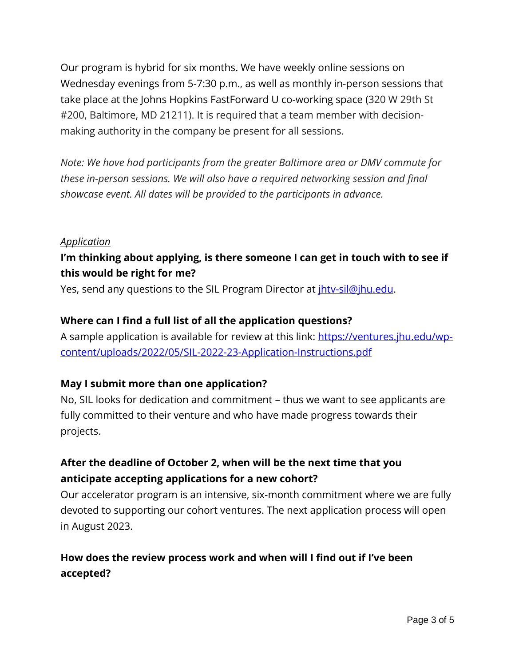Our program is hybrid for six months. We have weekly online sessions on Wednesday evenings from 5-7:30 p.m., as well as monthly in-person sessions that take place at the Johns Hopkins FastForward U co-working space (320 W 29th St #200, Baltimore, MD 21211). It is required that a team member with decisionmaking authority in the company be present for all sessions.

*Note: We have had participants from the greater Baltimore area or DMV commute for these in-person sessions. We will also have a required networking session and final showcase event. All dates will be provided to the participants in advance.* 

#### *Application*

## **I'm thinking about applying, is there someone I can get in touch with to see if this would be right for me?**

Yes, send any questions to the SIL Program Director at *ihtv-sil@jhu.edu.* 

#### **Where can I find a full list of all the application questions?**

A sample application is available for review at this link: [https://ventures.jhu.edu/wp](https://ventures.jhu.edu/wp-content/uploads/2022/05/SIL-2022-23-Application-Instructions.pdf)[content/uploads/2022/05/SIL-2022-23-Application-Instructions.pdf](https://ventures.jhu.edu/wp-content/uploads/2022/05/SIL-2022-23-Application-Instructions.pdf)

## **May I submit more than one application?**

No, SIL looks for dedication and commitment – thus we want to see applicants are fully committed to their venture and who have made progress towards their projects.

## **After the deadline of October 2, when will be the next time that you anticipate accepting applications for a new cohort?**

Our accelerator program is an intensive, six-month commitment where we are fully devoted to supporting our cohort ventures. The next application process will open in August 2023.

## **How does the review process work and when will I find out if I've been accepted?**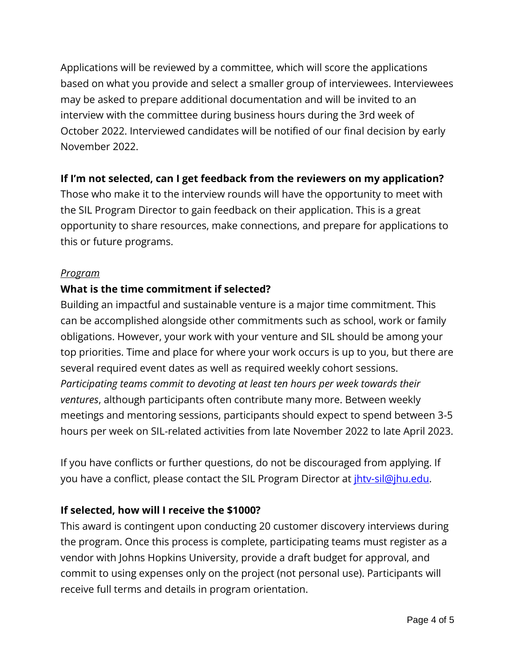Applications will be reviewed by a committee, which will score the applications based on what you provide and select a smaller group of interviewees. Interviewees may be asked to prepare additional documentation and will be invited to an interview with the committee during business hours during the 3rd week of October 2022. Interviewed candidates will be notified of our final decision by early November 2022.

## **If I'm not selected, can I get feedback from the reviewers on my application?**

Those who make it to the interview rounds will have the opportunity to meet with the SIL Program Director to gain feedback on their application. This is a great opportunity to share resources, make connections, and prepare for applications to this or future programs.

#### *Program*

## **What is the time commitment if selected?**

Building an impactful and sustainable venture is a major time commitment. This can be accomplished alongside other commitments such as school, work or family obligations. However, your work with your venture and SIL should be among your top priorities. Time and place for where your work occurs is up to you, but there are several required event dates as well as required weekly cohort sessions. *Participating teams commit to devoting at least ten hours per week towards their ventures*, although participants often contribute many more. Between weekly meetings and mentoring sessions, participants should expect to spend between 3-5 hours per week on SIL-related activities from late November 2022 to late April 2023.

If you have conflicts or further questions, do not be discouraged from applying. If you have a conflict, please contact the SIL Program Director at *ihtv-sil@jhu.edu.* 

## **If selected, how will I receive the \$1000?**

This award is contingent upon conducting 20 customer discovery interviews during the program. Once this process is complete, participating teams must register as a vendor with Johns Hopkins University, provide a draft budget for approval, and commit to using expenses only on the project (not personal use). Participants will receive full terms and details in program orientation.